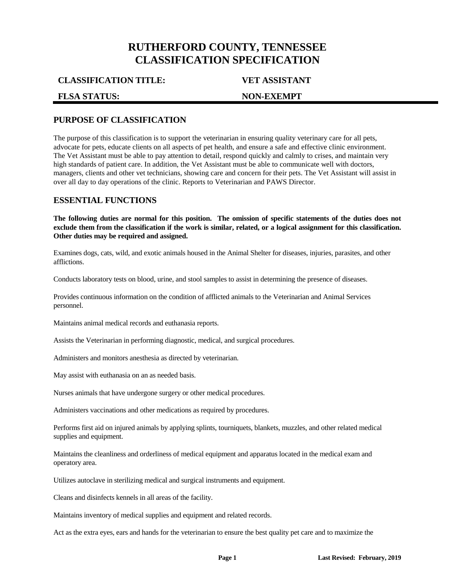# **RUTHERFORD COUNTY, TENNESSEE CLASSIFICATION SPECIFICATION**

**CLASSIFICATION TITLE: VET ASSISTANT**

#### **FLSA STATUS: NON-EXEMPT**

# **PURPOSE OF CLASSIFICATION**

The purpose of this classification is to support the veterinarian in ensuring quality veterinary care for all pets, advocate for pets, educate clients on all aspects of pet health, and ensure a safe and effective clinic environment. The Vet Assistant must be able to pay attention to detail, respond quickly and calmly to crises, and maintain very high standards of patient care. In addition, the Vet Assistant must be able to communicate well with doctors, managers, clients and other vet technicians, showing care and concern for their pets. The Vet Assistant will assist in over all day to day operations of the clinic. Reports to Veterinarian and PAWS Director.

### **ESSENTIAL FUNCTIONS**

**The following duties are normal for this position. The omission of specific statements of the duties does not exclude them from the classification if the work is similar, related, or a logical assignment for this classification. Other duties may be required and assigned.**

Examines dogs, cats, wild, and exotic animals housed in the Animal Shelter for diseases, injuries, parasites, and other afflictions.

Conducts laboratory tests on blood, urine, and stool samples to assist in determining the presence of diseases.

Provides continuous information on the condition of afflicted animals to the Veterinarian and Animal Services personnel.

Maintains animal medical records and euthanasia reports.

Assists the Veterinarian in performing diagnostic, medical, and surgical procedures.

Administers and monitors anesthesia as directed by veterinarian.

May assist with euthanasia on an as needed basis.

Nurses animals that have undergone surgery or other medical procedures.

Administers vaccinations and other medications as required by procedures.

Performs first aid on injured animals by applying splints, tourniquets, blankets, muzzles, and other related medical supplies and equipment.

Maintains the cleanliness and orderliness of medical equipment and apparatus located in the medical exam and operatory area.

Utilizes autoclave in sterilizing medical and surgical instruments and equipment.

Cleans and disinfects kennels in all areas of the facility.

Maintains inventory of medical supplies and equipment and related records.

Act as the extra eyes, ears and hands for the veterinarian to ensure the best quality pet care and to maximize the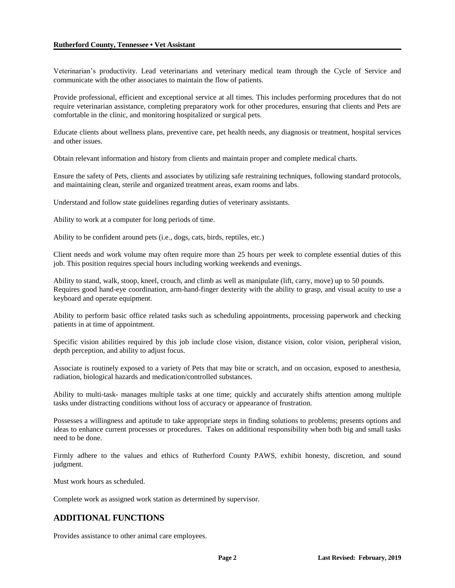#### **Rutherford County, Tennessee • Vet Assistant**

Veterinarian's productivity. Lead veterinarians and veterinary medical team through the Cycle of Service and communicate with the other associates to maintain the flow of patients.

Provide professional, efficient and exceptional service at all times. This includes performing procedures that do not require veterinarian assistance, completing preparatory work for other procedures, ensuring that clients and Pets are comfortable in the clinic, and monitoring hospitalized or surgical pets.

Educate clients about wellness plans, preventive care, pet health needs, any diagnosis or treatment, hospital services and other issues.

Obtain relevant information and history from clients and maintain proper and complete medical charts.

Ensure the safety of Pets, clients and associates by utilizing safe restraining techniques, following standard protocols, and maintaining clean, sterile and organized treatment areas, exam rooms and labs.

Understand and follow state guidelines regarding duties of veterinary assistants.

Ability to work at a computer for long periods of time.

Ability to be confident around pets (i.e., dogs, cats, birds, reptiles, etc.)

Client needs and work volume may often require more than 25 hours per week to complete essential duties of this job. This position requires special hours including working weekends and evenings.

Ability to stand, walk, stoop, kneel, crouch, and climb as well as manipulate (lift, carry, move) up to 50 pounds. Requires good hand-eye coordination, arm-hand-finger dexterity with the ability to grasp, and visual acuity to use a keyboard and operate equipment.

Ability to perform basic office related tasks such as scheduling appointments, processing paperwork and checking patients in at time of appointment.

Specific vision abilities required by this job include close vision, distance vision, color vision, peripheral vision, depth perception, and ability to adjust focus.

Associate is routinely exposed to a variety of Pets that may bite or scratch, and on occasion, exposed to anesthesia, radiation, biological hazards and medication/controlled substances.

Ability to multi-task**-** manages multiple tasks at one time; quickly and accurately shifts attention among multiple tasks under distracting conditions without loss of accuracy or appearance of frustration.

Possesses a willingness and aptitude to take appropriate steps in finding solutions to problems; presents options and ideas to enhance current processes or procedures. Takes on additional responsibility when both big and small tasks need to be done.

Firmly adhere to the values and ethics of Rutherford County PAWS, exhibit honesty, discretion, and sound judgment.

Must work hours as scheduled.

Complete work as assigned work station as determined by supervisor.

### **ADDITIONAL FUNCTIONS**

Provides assistance to other animal care employees.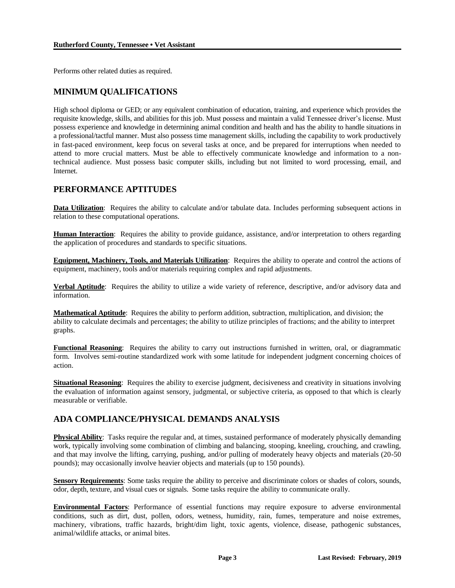Performs other related duties as required.

# **MINIMUM QUALIFICATIONS**

High school diploma or GED; or any equivalent combination of education, training, and experience which provides the requisite knowledge, skills, and abilities for this job. Must possess and maintain a valid Tennessee driver's license. Must possess experience and knowledge in determining animal condition and health and has the ability to handle situations in a professional/tactful manner. Must also possess time management skills, including the capability to work productively in fast-paced environment, keep focus on several tasks at once, and be prepared for interruptions when needed to attend to more crucial matters. Must be able to effectively communicate knowledge and information to a nontechnical audience. Must possess basic computer skills, including but not limited to word processing, email, and Internet.

# **PERFORMANCE APTITUDES**

**Data Utilization**: Requires the ability to calculate and/or tabulate data. Includes performing subsequent actions in relation to these computational operations.

**Human Interaction**: Requires the ability to provide guidance, assistance, and/or interpretation to others regarding the application of procedures and standards to specific situations.

**Equipment, Machinery, Tools, and Materials Utilization**: Requires the ability to operate and control the actions of equipment, machinery, tools and/or materials requiring complex and rapid adjustments.

**Verbal Aptitude**: Requires the ability to utilize a wide variety of reference, descriptive, and/or advisory data and information.

**Mathematical Aptitude**: Requires the ability to perform addition, subtraction, multiplication, and division; the ability to calculate decimals and percentages; the ability to utilize principles of fractions; and the ability to interpret graphs.

**Functional Reasoning**: Requires the ability to carry out instructions furnished in written, oral, or diagrammatic form. Involves semi-routine standardized work with some latitude for independent judgment concerning choices of action.

**Situational Reasoning**: Requires the ability to exercise judgment, decisiveness and creativity in situations involving the evaluation of information against sensory, judgmental, or subjective criteria, as opposed to that which is clearly measurable or verifiable.

# **ADA COMPLIANCE/PHYSICAL DEMANDS ANALYSIS**

**Physical Ability**: Tasks require the regular and, at times, sustained performance of moderately physically demanding work, typically involving some combination of climbing and balancing, stooping, kneeling, crouching, and crawling, and that may involve the lifting, carrying, pushing, and/or pulling of moderately heavy objects and materials (20-50 pounds); may occasionally involve heavier objects and materials (up to 150 pounds).

**Sensory Requirements**: Some tasks require the ability to perceive and discriminate colors or shades of colors, sounds, odor, depth, texture, and visual cues or signals. Some tasks require the ability to communicate orally.

**Environmental Factors**: Performance of essential functions may require exposure to adverse environmental conditions, such as dirt, dust, pollen, odors, wetness, humidity, rain, fumes, temperature and noise extremes, machinery, vibrations, traffic hazards, bright/dim light, toxic agents, violence, disease, pathogenic substances, animal/wildlife attacks, or animal bites.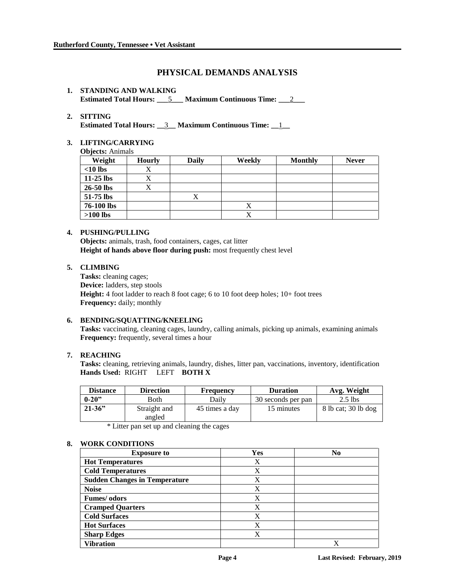# **PHYSICAL DEMANDS ANALYSIS**

#### **1. STANDING AND WALKING Estimated Total Hours: \_\_\_**5**\_\_\_ Maximum Continuous Time: \_\_\_**2**\_\_\_**

#### **2. SITTING**

**Estimated Total Hours: \_\_**3**\_\_ Maximum Continuous Time: \_\_**1**\_\_**

# **3. LIFTING/CARRYING**

**Objects:** Animals

| $\cdot$<br>Weight | <b>Hourly</b> | <b>Daily</b> | <b>Weekly</b> | <b>Monthly</b> | <b>Never</b> |
|-------------------|---------------|--------------|---------------|----------------|--------------|
| $<$ 10 lbs        |               |              |               |                |              |
| $11-25$ lbs       |               |              |               |                |              |
| 26-50 lbs         |               |              |               |                |              |
| 51-75 lbs         |               |              |               |                |              |
| 76-100 lbs        |               |              | Х             |                |              |
| $>100$ lbs        |               |              | v<br>A        |                |              |

#### **4. PUSHING/PULLING**

**Objects:** animals, trash, food containers, cages, cat litter **Height of hands above floor during push:** most frequently chest level

#### **5. CLIMBING**

**Tasks:** cleaning cages; **Device:** ladders, step stools **Height:** 4 foot ladder to reach 8 foot cage; 6 to 10 foot deep holes; 10+ foot trees **Frequency:** daily; monthly

#### **6. BENDING/SQUATTING/KNEELING**

**Tasks:** vaccinating, cleaning cages, laundry, calling animals, picking up animals, examining animals **Frequency:** frequently, several times a hour

#### **7. REACHING**

**Tasks:** cleaning, retrieving animals, laundry, dishes, litter pan, vaccinations, inventory, identification **Hands Used:** RIGHT LEFT **BOTH X**

| <b>Distance</b> | Direction              | <b>Frequency</b> | <b>Duration</b>    | Avg. Weight         |
|-----------------|------------------------|------------------|--------------------|---------------------|
| $0 - 20$ "      | <b>Both</b>            | Dailv            | 30 seconds per pan | $2.5$ lbs           |
| $21 - 36$       | Straight and<br>angled | 45 times a day   | 15 minutes         | 8 lb cat; 30 lb dog |

\* Litter pan set up and cleaning the cages

#### **8. WORK CONDITIONS**

| <b>Exposure to</b>                   | Yes | N <sub>0</sub> |
|--------------------------------------|-----|----------------|
| <b>Hot Temperatures</b>              | Χ   |                |
| <b>Cold Temperatures</b>             | X   |                |
| <b>Sudden Changes in Temperature</b> | X   |                |
| <b>Noise</b>                         | X   |                |
| Fumes/ odors                         | X   |                |
| <b>Cramped Quarters</b>              | X   |                |
| <b>Cold Surfaces</b>                 | X   |                |
| <b>Hot Surfaces</b>                  | X   |                |
| <b>Sharp Edges</b>                   | X   |                |
| <b>Vibration</b>                     |     | X              |